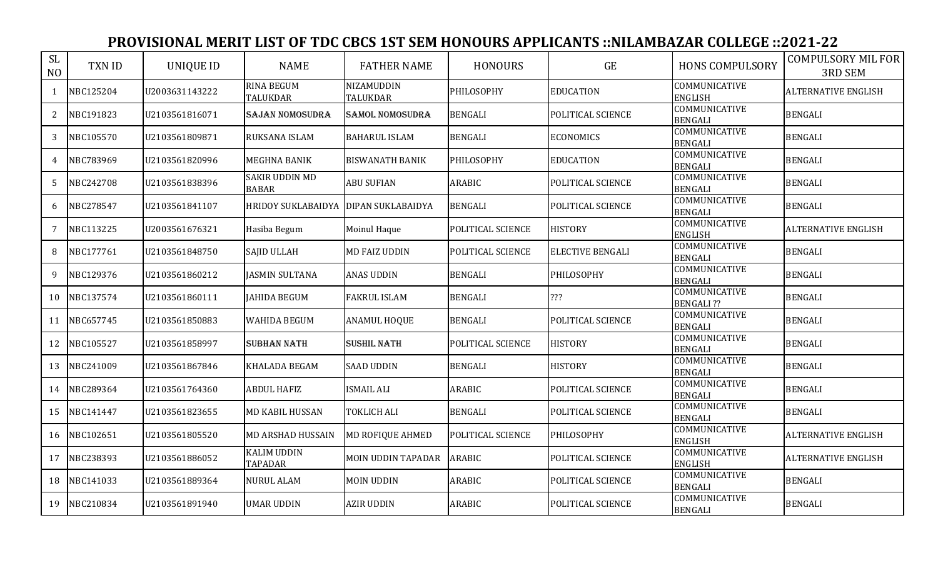| <b>SL</b><br>N <sub>O</sub> | TXN ID    | <b>UNIQUE ID</b> | <b>NAME</b>                           | <b>FATHER NAME</b>            | <b>HONOURS</b>    | GE                      | <b>HONS COMPULSORY</b>                 | <b>COMPULSORY MIL FOR</b><br>3RD SEM |
|-----------------------------|-----------|------------------|---------------------------------------|-------------------------------|-------------------|-------------------------|----------------------------------------|--------------------------------------|
| $\mathbf{1}$                | NBC125204 | U2003631143222   | <b>RINA BEGUM</b><br><b>TALUKDAR</b>  | <b>NIZAMUDDIN</b><br>TALUKDAR | PHILOSOPHY        | <b>EDUCATION</b>        | COMMUNICATIVE<br><b>ENGLISH</b>        | <b>ALTERNATIVE ENGLISH</b>           |
| 2                           | NBC191823 | U2103561816071   | SAJAN NOMOSUDRA                       | <b>SAMOL NOMOSUDRA</b>        | <b>BENGALI</b>    | POLITICAL SCIENCE       | COMMUNICATIVE<br><b>BENGALI</b>        | <b>BENGALI</b>                       |
| 3                           | NBC105570 | U2103561809871   | RUKSANA ISLAM                         | <b>BAHARUL ISLAM</b>          | <b>BENGALI</b>    | <b>ECONOMICS</b>        | COMMUNICATIVE<br><b>BENGALI</b>        | <b>BENGALI</b>                       |
| 4                           | NBC783969 | U2103561820996   | <b>MEGHNA BANIK</b>                   | <b>BISWANATH BANIK</b>        | PHILOSOPHY        | <b>EDUCATION</b>        | COMMUNICATIVE<br><b>BENGALI</b>        | <b>BENGALI</b>                       |
| 5                           | NBC242708 | U2103561838396   | <b>SAKIR UDDIN MD</b><br><b>BABAR</b> | <b>ABU SUFIAN</b>             | ARABIC            | POLITICAL SCIENCE       | COMMUNICATIVE<br><b>BENGALI</b>        | <b>BENGALI</b>                       |
| 6                           | NBC278547 | U2103561841107   | HRIDOY SUKLABAIDYA DIPAN SUKLABAIDYA  |                               | <b>BENGALI</b>    | POLITICAL SCIENCE       | <b>COMMUNICATIVE</b><br><b>BENGALI</b> | <b>BENGALI</b>                       |
| 7                           | NBC113225 | U2003561676321   | Hasiba Begum                          | Moinul Haque                  | POLITICAL SCIENCE | <b>HISTORY</b>          | COMMUNICATIVE<br><b>ENGLISH</b>        | <b>ALTERNATIVE ENGLISH</b>           |
| 8                           | NBC177761 | U2103561848750   | SAJID ULLAH                           | <b>MD FAIZ UDDIN</b>          | POLITICAL SCIENCE | <b>ELECTIVE BENGALI</b> | COMMUNICATIVE<br><b>BENGALI</b>        | <b>BENGALI</b>                       |
| 9                           | NBC129376 | U2103561860212   | <b>JASMIN SULTANA</b>                 | <b>ANAS UDDIN</b>             | <b>BENGALI</b>    | PHILOSOPHY              | COMMUNICATIVE<br><b>BENGALI</b>        | <b>BENGALI</b>                       |
| 10                          | NBC137574 | U2103561860111   | <b>JAHIDA BEGUM</b>                   | <b>FAKRUL ISLAM</b>           | <b>BENGALI</b>    | ???                     | COMMUNICATIVE<br><b>BENGALI ??</b>     | <b>BENGALI</b>                       |
| 11                          | NBC657745 | U2103561850883   | WAHIDA BEGUM                          | <b>ANAMUL HOQUE</b>           | <b>BENGALI</b>    | POLITICAL SCIENCE       | COMMUNICATIVE<br><b>BENGALI</b>        | <b>BENGALI</b>                       |
| 12                          | NBC105527 | U2103561858997   | <b>SUBHAN NATH</b>                    | <b>SUSHIL NATH</b>            | POLITICAL SCIENCE | <b>HISTORY</b>          | COMMUNICATIVE<br><b>BENGALI</b>        | <b>BENGALI</b>                       |
| 13                          | NBC241009 | U2103561867846   | KHALADA BEGAM                         | <b>SAAD UDDIN</b>             | <b>BENGALI</b>    | <b>HISTORY</b>          | COMMUNICATIVE<br><b>BENGALI</b>        | <b>BENGALI</b>                       |
| 14                          | NBC289364 | U2103561764360   | <b>ABDUL HAFIZ</b>                    | <b>ISMAIL ALI</b>             | ARABIC            | POLITICAL SCIENCE       | COMMUNICATIVE<br><b>BENGALI</b>        | <b>BENGALI</b>                       |
| 15                          | NBC141447 | U2103561823655   | <b>MD KABIL HUSSAN</b>                | TOKLICH ALI                   | <b>BENGALI</b>    | POLITICAL SCIENCE       | COMMUNICATIVE<br><b>BENGALI</b>        | <b>BENGALI</b>                       |
| 16                          | NBC102651 | U2103561805520   | <b>MD ARSHAD HUSSAIN</b>              | <b>MD ROFIQUE AHMED</b>       | POLITICAL SCIENCE | PHILOSOPHY              | COMMUNICATIVE<br><b>ENGLISH</b>        | <b>ALTERNATIVE ENGLISH</b>           |
| 17                          | NBC238393 | U2103561886052   | <b>KALIM UDDIN</b><br><b>TAPADAR</b>  | <b>MOIN UDDIN TAPADAR</b>     | ARABIC            | POLITICAL SCIENCE       | COMMUNICATIVE<br><b>ENGLISH</b>        | <b>ALTERNATIVE ENGLISH</b>           |
| 18                          | NBC141033 | U2103561889364   | <b>NURUL ALAM</b>                     | <b>MOIN UDDIN</b>             | ARABIC            | POLITICAL SCIENCE       | COMMUNICATIVE<br><b>BENGALI</b>        | <b>BENGALI</b>                       |
| 19                          | NBC210834 | U2103561891940   | <b>UMAR UDDIN</b>                     | <b>AZIR UDDIN</b>             | <b>ARABIC</b>     | POLITICAL SCIENCE       | COMMUNICATIVE<br><b>BENGALI</b>        | <b>BENGALI</b>                       |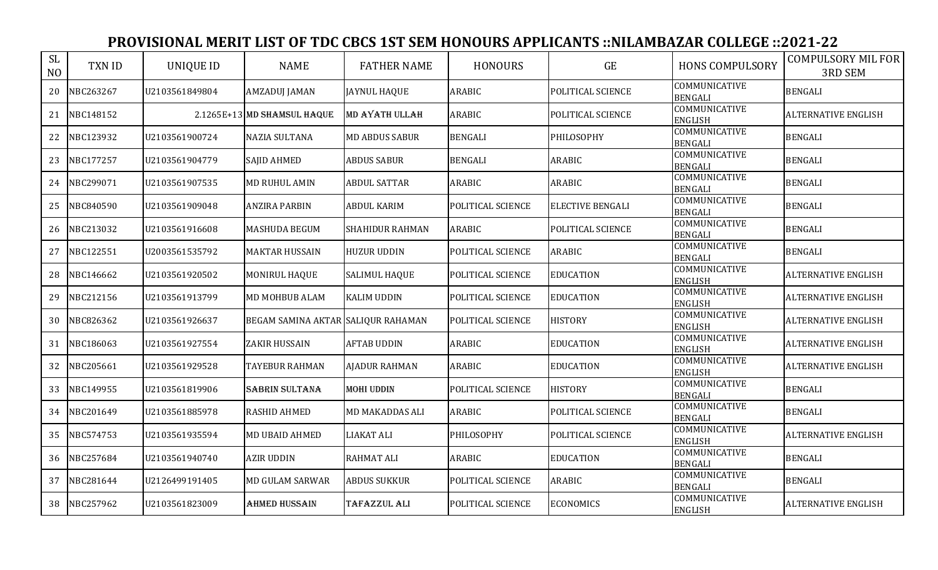| <b>SL</b><br>N <sub>O</sub> | <b>TXN ID</b> | <b>UNIQUE ID</b> | <b>NAME</b>                        | <b>FATHER NAME</b>     | <b>HONOURS</b>    | GE                      | <b>HONS COMPULSORY</b>                 | <b>COMPULSORY MIL FOR</b><br><b>3RD SEM</b> |
|-----------------------------|---------------|------------------|------------------------------------|------------------------|-------------------|-------------------------|----------------------------------------|---------------------------------------------|
| 20                          | NBC263267     | U2103561849804   | <b>AMZADUJ JAMAN</b>               | <b>JAYNUL HAQUE</b>    | <b>ARABIC</b>     | POLITICAL SCIENCE       | COMMUNICATIVE<br><b>BENGALI</b>        | <b>BENGALI</b>                              |
| 21                          | NBC148152     |                  | 2.1265E+13 MD SHAMSUL HAQUE        | MD AYATH ULLAH         | <b>ARABIC</b>     | POLITICAL SCIENCE       | COMMUNICATIVE<br><b>ENGLISH</b>        | <b>ALTERNATIVE ENGLISH</b>                  |
| 22                          | NBC123932     | U2103561900724   | <b>NAZIA SULTANA</b>               | <b>MD ABDUS SABUR</b>  | <b>BENGALI</b>    | PHILOSOPHY              | COMMUNICATIVE<br><b>BENGALI</b>        | <b>BENGALI</b>                              |
| 23                          | NBC177257     | U2103561904779   | <b>SAJID AHMED</b>                 | <b>ABDUS SABUR</b>     | <b>BENGALI</b>    | <b>ARABIC</b>           | COMMUNICATIVE<br><b>BENGALI</b>        | <b>BENGALI</b>                              |
| 24                          | NBC299071     | U2103561907535   | MD RUHUL AMIN                      | <b>ABDUL SATTAR</b>    | <b>ARABIC</b>     | <b>ARABIC</b>           | COMMUNICATIVE<br><b>BENGALI</b>        | <b>BENGALI</b>                              |
| 25                          | NBC840590     | U2103561909048   | <b>ANZIRA PARBIN</b>               | <b>ABDUL KARIM</b>     | POLITICAL SCIENCE | <b>ELECTIVE BENGALI</b> | COMMUNICATIVE<br><b>BENGALI</b>        | <b>BENGALI</b>                              |
| 26                          | NBC213032     | U2103561916608   | MASHUDA BEGUM                      | <b>SHAHIDUR RAHMAN</b> | <b>ARABIC</b>     | POLITICAL SCIENCE       | <b>COMMUNICATIVE</b><br><b>BENGALI</b> | <b>BENGALI</b>                              |
| 27                          | NBC122551     | U2003561535792   | <b>MAKTAR HUSSAIN</b>              | <b>HUZUR UDDIN</b>     | POLITICAL SCIENCE | ARABIC                  | COMMUNICATIVE<br><b>BENGALI</b>        | <b>BENGALI</b>                              |
| 28                          | NBC146662     | U2103561920502   | MONIRUL HAQUE                      | <b>SALIMUL HAQUE</b>   | POLITICAL SCIENCE | <b>EDUCATION</b>        | COMMUNICATIVE<br><b>ENGLISH</b>        | <b>ALTERNATIVE ENGLISH</b>                  |
| 29                          | NBC212156     | U2103561913799   | MD MOHBUB ALAM                     | <b>KALIM UDDIN</b>     | POLITICAL SCIENCE | <b>EDUCATION</b>        | COMMUNICATIVE<br><b>ENGLISH</b>        | <b>ALTERNATIVE ENGLISH</b>                  |
| 30                          | NBC826362     | U2103561926637   | BEGAM SAMINA AKTAR SALIQUR RAHAMAN |                        | POLITICAL SCIENCE | <b>HISTORY</b>          | COMMUNICATIVE<br><b>ENGLISH</b>        | <b>ALTERNATIVE ENGLISH</b>                  |
| 31                          | NBC186063     | U2103561927554   | <b>ZAKIR HUSSAIN</b>               | <b>AFTAB UDDIN</b>     | <b>ARABIC</b>     | <b>EDUCATION</b>        | COMMUNICATIVE<br><b>ENGLISH</b>        | <b>ALTERNATIVE ENGLISH</b>                  |
| 32                          | NBC205661     | U2103561929528   | <b>TAYEBUR RAHMAN</b>              | <b>AJADUR RAHMAN</b>   | <b>ARABIC</b>     | <b>EDUCATION</b>        | COMMUNICATIVE<br><b>ENGLISH</b>        | <b>ALTERNATIVE ENGLISH</b>                  |
| 33                          | NBC149955     | U2103561819906   | <b>SABRIN SULTANA</b>              | <b>MOHI UDDIN</b>      | POLITICAL SCIENCE | <b>HISTORY</b>          | COMMUNICATIVE<br><b>BENGALI</b>        | <b>BENGALI</b>                              |
| 34                          | NBC201649     | U2103561885978   | <b>RASHID AHMED</b>                | <b>MD MAKADDAS ALI</b> | <b>ARABIC</b>     | POLITICAL SCIENCE       | COMMUNICATIVE<br><b>BENGALI</b>        | <b>BENGALI</b>                              |
| 35                          | NBC574753     | U2103561935594   | <b>MD UBAID AHMED</b>              | <b>LIAKAT ALI</b>      | PHILOSOPHY        | POLITICAL SCIENCE       | COMMUNICATIVE<br><b>ENGLISH</b>        | <b>ALTERNATIVE ENGLISH</b>                  |
| 36                          | NBC257684     | U2103561940740   | <b>AZIR UDDIN</b>                  | <b>RAHMAT ALI</b>      | <b>ARABIC</b>     | <b>EDUCATION</b>        | COMMUNICATIVE<br><b>BENGALI</b>        | <b>BENGALI</b>                              |
| 37                          | NBC281644     | U2126499191405   | <b>MD GULAM SARWAR</b>             | <b>ABDUS SUKKUR</b>    | POLITICAL SCIENCE | <b>ARABIC</b>           | COMMUNICATIVE<br><b>BENGALI</b>        | <b>BENGALI</b>                              |
| 38                          | NBC257962     | U2103561823009   | <b>AHMED HUSSAIN</b>               | TAFAZZUL ALI           | POLITICAL SCIENCE | <b>ECONOMICS</b>        | COMMUNICATIVE<br><b>ENGLISH</b>        | <b>ALTERNATIVE ENGLISH</b>                  |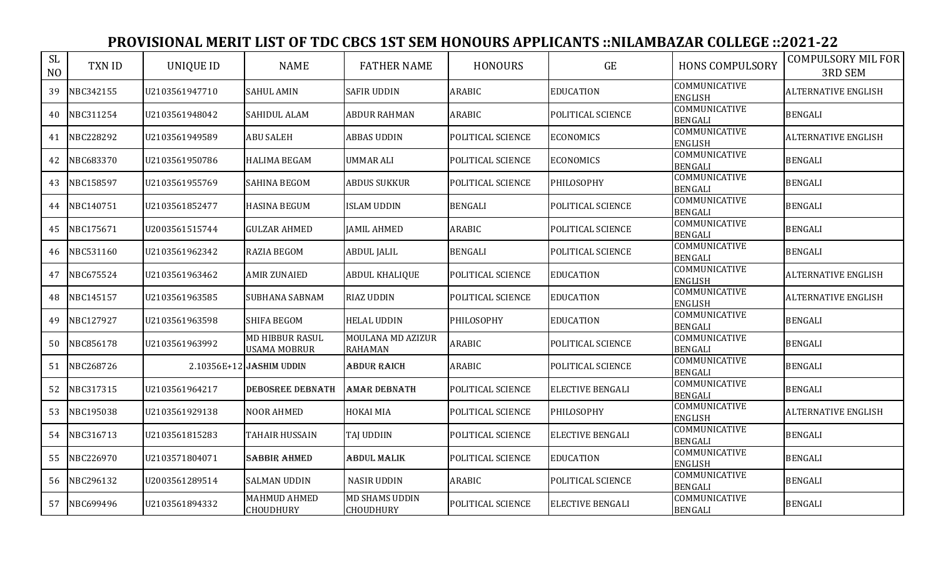| <b>SL</b><br>N <sub>O</sub> | <b>TXN ID</b> | <b>UNIQUE ID</b> | <b>NAME</b>                                   | <b>FATHER NAME</b>                  | <b>HONOURS</b>    | GE                      | <b>HONS COMPULSORY</b>                 | <b>COMPULSORY MIL FOR</b><br><b>3RD SEM</b> |
|-----------------------------|---------------|------------------|-----------------------------------------------|-------------------------------------|-------------------|-------------------------|----------------------------------------|---------------------------------------------|
| 39                          | NBC342155     | U2103561947710   | <b>SAHUL AMIN</b>                             | <b>SAFIR UDDIN</b>                  | <b>ARABIC</b>     | <b>EDUCATION</b>        | <b>COMMUNICATIVE</b><br><b>ENGLISH</b> | <b>ALTERNATIVE ENGLISH</b>                  |
| 40                          | NBC311254     | U2103561948042   | <b>SAHIDUL ALAM</b>                           | <b>ABDUR RAHMAN</b>                 | <b>ARABIC</b>     | POLITICAL SCIENCE       | COMMUNICATIVE<br><b>BENGALI</b>        | <b>BENGALI</b>                              |
| 41                          | NBC228292     | U2103561949589   | <b>ABU SALEH</b>                              | <b>ABBAS UDDIN</b>                  | POLITICAL SCIENCE | <b>ECONOMICS</b>        | COMMUNICATIVE<br><b>ENGLISH</b>        | <b>ALTERNATIVE ENGLISH</b>                  |
| 42                          | NBC683370     | U2103561950786   | <b>HALIMA BEGAM</b>                           | <b>UMMAR ALI</b>                    | POLITICAL SCIENCE | <b>ECONOMICS</b>        | COMMUNICATIVE<br><b>BENGALI</b>        | <b>BENGALI</b>                              |
| 43                          | NBC158597     | U2103561955769   | <b>SAHINA BEGOM</b>                           | <b>ABDUS SUKKUR</b>                 | POLITICAL SCIENCE | PHILOSOPHY              | COMMUNICATIVE<br><b>BENGALI</b>        | <b>BENGALI</b>                              |
| 44                          | NBC140751     | U2103561852477   | <b>HASINA BEGUM</b>                           | <b>ISLAM UDDIN</b>                  | <b>BENGALI</b>    | POLITICAL SCIENCE       | COMMUNICATIVE<br><b>BENGALI</b>        | <b>BENGALI</b>                              |
| 45                          | NBC175671     | U2003561515744   | <b>GULZAR AHMED</b>                           | <b>JAMIL AHMED</b>                  | <b>ARABIC</b>     | POLITICAL SCIENCE       | COMMUNICATIVE<br><b>BENGALI</b>        | <b>BENGALI</b>                              |
| 46                          | NBC531160     | U2103561962342   | <b>RAZIA BEGOM</b>                            | <b>ABDUL JALIL</b>                  | <b>BENGALI</b>    | POLITICAL SCIENCE       | COMMUNICATIVE<br><b>BENGALI</b>        | <b>BENGALI</b>                              |
| 47                          | NBC675524     | U2103561963462   | <b>AMIR ZUNAIED</b>                           | <b>ABDUL KHALIQUE</b>               | POLITICAL SCIENCE | <b>EDUCATION</b>        | COMMUNICATIVE<br><b>ENGLISH</b>        | <b>ALTERNATIVE ENGLISH</b>                  |
| 48                          | NBC145157     | U2103561963585   | <b>SUBHANA SABNAM</b>                         | <b>RIAZ UDDIN</b>                   | POLITICAL SCIENCE | <b>EDUCATION</b>        | COMMUNICATIVE<br><b>ENGLISH</b>        | <b>ALTERNATIVE ENGLISH</b>                  |
| 49                          | NBC127927     | U2103561963598   | SHIFA BEGOM                                   | <b>HELAL UDDIN</b>                  | PHILOSOPHY        | <b>EDUCATION</b>        | COMMUNICATIVE<br><b>BENGALI</b>        | <b>BENGALI</b>                              |
| 50                          | NBC856178     | U2103561963992   | <b>MD HIBBUR RASUL</b><br><b>USAMA MOBRUR</b> | MOULANA MD AZIZUR<br><b>RAHAMAN</b> | ARABIC            | POLITICAL SCIENCE       | COMMUNICATIVE<br><b>BENGALI</b>        | <b>BENGALI</b>                              |
| 51                          | NBC268726     |                  | 2.10356E+12 JASHIM UDDIN                      | <b>ABDUR RAICH</b>                  | <b>ARABIC</b>     | POLITICAL SCIENCE       | COMMUNICATIVE<br><b>BENGALI</b>        | <b>BENGALI</b>                              |
| 52                          | NBC317315     | U2103561964217   | <b>DEBOSREE DEBNATH</b>                       | AMAR DEBNATH                        | POLITICAL SCIENCE | <b>ELECTIVE BENGALI</b> | COMMUNICATIVE<br><b>BENGALI</b>        | <b>BENGALI</b>                              |
| 53                          | NBC195038     | U2103561929138   | <b>NOOR AHMED</b>                             | HOKAI MIA                           | POLITICAL SCIENCE | PHILOSOPHY              | COMMUNICATIVE<br><b>ENGLISH</b>        | <b>ALTERNATIVE ENGLISH</b>                  |
| 54                          | NBC316713     | U2103561815283   | <b>TAHAIR HUSSAIN</b>                         | <b>TAJ UDDIIN</b>                   | POLITICAL SCIENCE | <b>ELECTIVE BENGALI</b> | COMMUNICATIVE<br><b>BENGALI</b>        | <b>BENGALI</b>                              |
| 55                          | NBC226970     | U2103571804071   | <b>SABBIR AHMED</b>                           | <b>ABDUL MALIK</b>                  | POLITICAL SCIENCE | <b>EDUCATION</b>        | COMMUNICATIVE<br><b>ENGLISH</b>        | <b>BENGALI</b>                              |
| 56                          | NBC296132     | U2003561289514   | <b>SALMAN UDDIN</b>                           | <b>NASIR UDDIN</b>                  | ARABIC            | POLITICAL SCIENCE       | COMMUNICATIVE<br><b>BENGALI</b>        | <b>BENGALI</b>                              |
| 57                          | NBC699496     | U2103561894332   | MAHMUD AHMED<br><b>CHOUDHURY</b>              | MD SHAMS UDDIN<br><b>CHOUDHURY</b>  | POLITICAL SCIENCE | <b>ELECTIVE BENGALI</b> | COMMUNICATIVE<br><b>BENGALI</b>        | <b>BENGALI</b>                              |